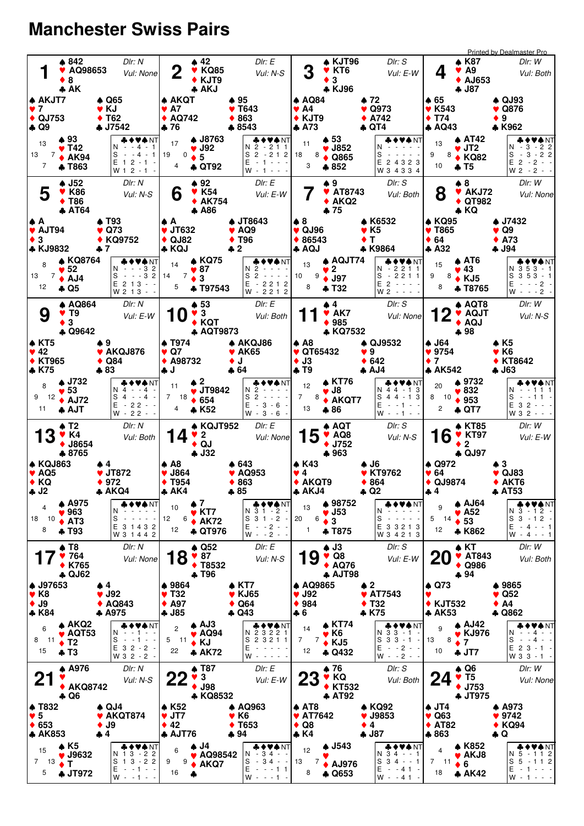## **Manchester Swiss Pairs**

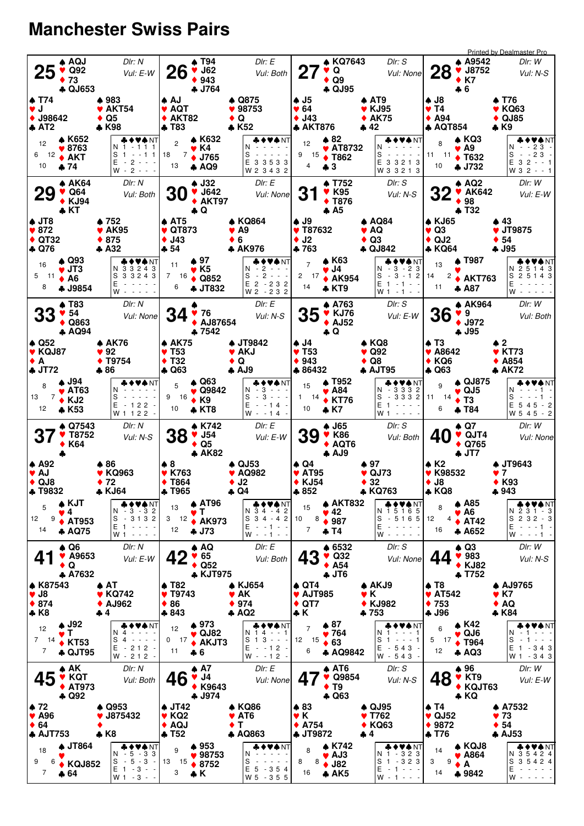## **Manchester Swiss Pairs**